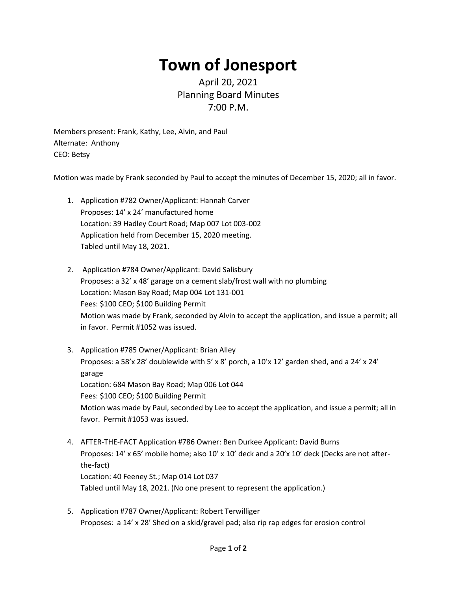## **Town of Jonesport**

## April 20, 2021 Planning Board Minutes 7:00 P.M.

Members present: Frank, Kathy, Lee, Alvin, and Paul Alternate: Anthony CEO: Betsy

Motion was made by Frank seconded by Paul to accept the minutes of December 15, 2020; all in favor.

- 1. Application #782 Owner/Applicant: Hannah Carver Proposes: 14' x 24' manufactured home Location: 39 Hadley Court Road; Map 007 Lot 003-002 Application held from December 15, 2020 meeting. Tabled until May 18, 2021.
- 2. Application #784 Owner/Applicant: David Salisbury Proposes: a 32' x 48' garage on a cement slab/frost wall with no plumbing Location: Mason Bay Road; Map 004 Lot 131-001 Fees: \$100 CEO; \$100 Building Permit Motion was made by Frank, seconded by Alvin to accept the application, and issue a permit; all in favor. Permit #1052 was issued.
- 3. Application #785 Owner/Applicant: Brian Alley Proposes: a 58'x 28' doublewide with 5' x 8' porch, a  $10'$ x  $12'$  garden shed, and a  $24'$  x  $24'$ garage Location: 684 Mason Bay Road; Map 006 Lot 044 Fees: \$100 CEO; \$100 Building Permit Motion was made by Paul, seconded by Lee to accept the application, and issue a permit; all in favor. Permit #1053 was issued.
- 4. AFTER-THE-FACT Application #786 Owner: Ben Durkee Applicant: David Burns Proposes: 14' x 65' mobile home; also 10' x 10' deck and a 20'x 10' deck (Decks are not afterthe-fact) Location: 40 Feeney St.; Map 014 Lot 037 Tabled until May 18, 2021. (No one present to represent the application.)
- 5. Application #787 Owner/Applicant: Robert Terwilliger Proposes: a 14' x 28' Shed on a skid/gravel pad; also rip rap edges for erosion control